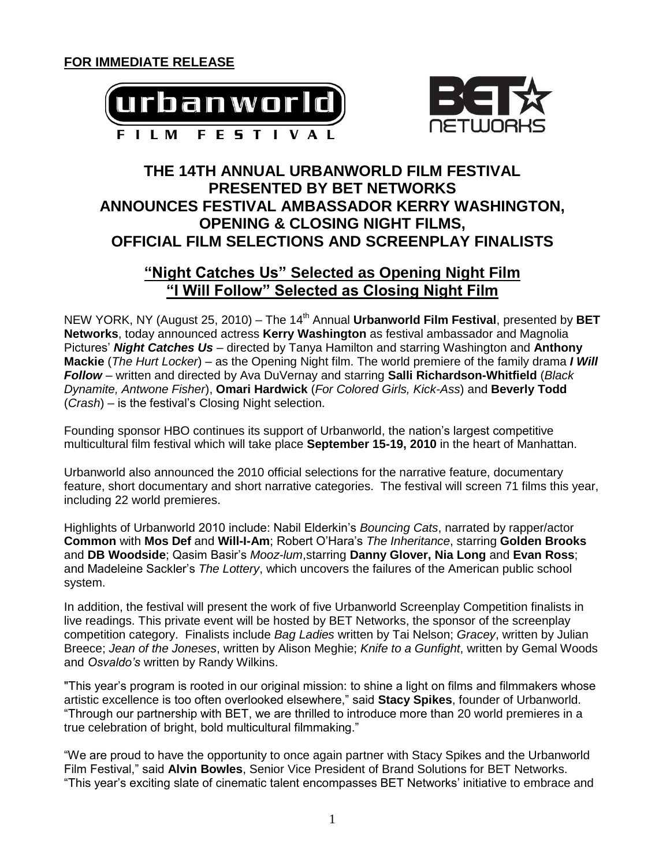



# **THE 14TH ANNUAL URBANWORLD FILM FESTIVAL PRESENTED BY BET NETWORKS ANNOUNCES FESTIVAL AMBASSADOR KERRY WASHINGTON, OPENING & CLOSING NIGHT FILMS, OFFICIAL FILM SELECTIONS AND SCREENPLAY FINALISTS**

## **"Night Catches Us" Selected as Opening Night Film "I Will Follow" Selected as Closing Night Film**

NEW YORK, NY (August 25, 2010) – The 14<sup>th</sup> Annual **Urbanworld Film Festival**, presented by **BET Networks**, today announced actress **Kerry Washington** as festival ambassador and Magnolia Pictures' *Night Catches Us* – directed by Tanya Hamilton and starring Washington and **Anthony Mackie** (*The Hurt Locker*) – as the Opening Night film. The world premiere of the family drama *I Will Follow* – written and directed by Ava DuVernay and starring **Salli Richardson-Whitfield** (*Black Dynamite, Antwone Fisher*), **Omari Hardwick** (*For Colored Girls, Kick-Ass*) and **Beverly Todd** (*Crash*) – is the festival's Closing Night selection.

Founding sponsor HBO continues its support of Urbanworld, the nation's largest competitive multicultural film festival which will take place **September 15-19, 2010** in the heart of Manhattan.

Urbanworld also announced the 2010 official selections for the narrative feature, documentary feature, short documentary and short narrative categories. The festival will screen 71 films this year, including 22 world premieres.

Highlights of Urbanworld 2010 include: Nabil Elderkin's *Bouncing Cats*, narrated by rapper/actor **Common** with **Mos Def** and **Will-I-Am**; Robert O'Hara's *The Inheritance*, starring **Golden Brooks** and **DB Woodside**; Qasim Basir's *Mooz-lum*,starring **Danny Glover, Nia Long** and **Evan Ross**; and Madeleine Sackler's *The Lottery*, which uncovers the failures of the American public school system.

In addition, the festival will present the work of five Urbanworld Screenplay Competition finalists in live readings. This private event will be hosted by BET Networks, the sponsor of the screenplay competition category. Finalists include *Bag Ladies* written by Tai Nelson; *Gracey*, written by Julian Breece; *Jean of the Joneses*, written by Alison Meghie; *Knife to a Gunfight*, written by Gemal Woods and *Osvaldo's* written by Randy Wilkins.

"This year's program is rooted in our original mission: to shine a light on films and filmmakers whose artistic excellence is too often overlooked elsewhere," said **Stacy Spikes**, founder of Urbanworld. "Through our partnership with BET, we are thrilled to introduce more than 20 world premieres in a true celebration of bright, bold multicultural filmmaking."

"We are proud to have the opportunity to once again partner with Stacy Spikes and the Urbanworld Film Festival," said **Alvin Bowles**, Senior Vice President of Brand Solutions for BET Networks. "This year's exciting slate of cinematic talent encompasses BET Networks' initiative to embrace and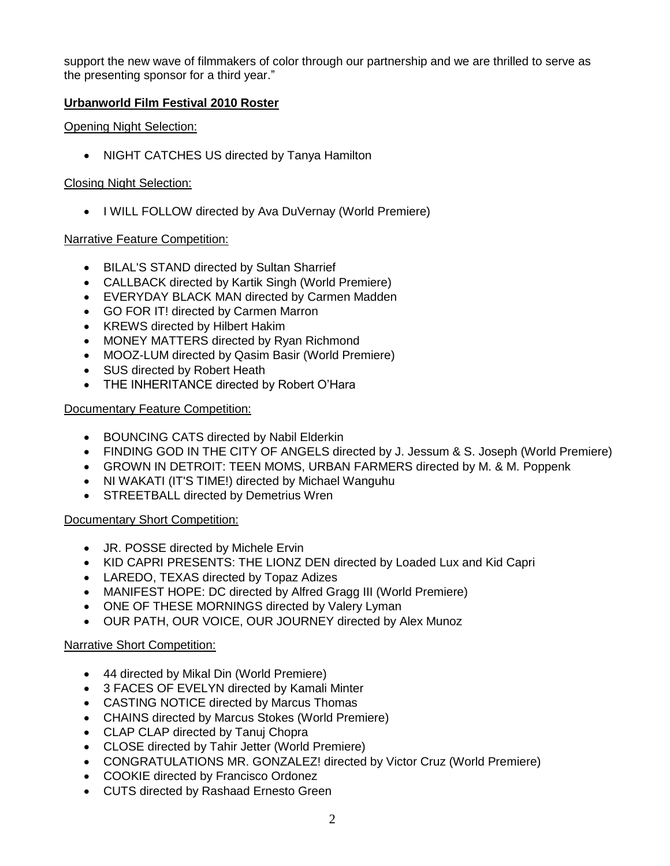support the new wave of filmmakers of color through our partnership and we are thrilled to serve as the presenting sponsor for a third year."

### **Urbanworld Film Festival 2010 Roster**

#### Opening Night Selection:

• NIGHT CATCHES US directed by Tanya Hamilton

#### Closing Night Selection:

• I WILL FOLLOW directed by Ava DuVernay (World Premiere)

### Narrative Feature Competition:

- BILAL'S STAND directed by Sultan Sharrief
- CALLBACK directed by Kartik Singh (World Premiere)
- EVERYDAY BLACK MAN directed by Carmen Madden
- GO FOR IT! directed by Carmen Marron
- KREWS directed by Hilbert Hakim
- MONEY MATTERS directed by Ryan Richmond
- MOOZ-LUM directed by Qasim Basir (World Premiere)
- SUS directed by Robert Heath
- THE INHERITANCE directed by Robert O'Hara

### Documentary Feature Competition:

- BOUNCING CATS directed by Nabil Elderkin
- FINDING GOD IN THE CITY OF ANGELS directed by J. Jessum & S. Joseph (World Premiere)
- GROWN IN DETROIT: TEEN MOMS, URBAN FARMERS directed by M. & M. Poppenk
- NI WAKATI (IT'S TIME!) directed by Michael Wanguhu
- STREETBALL directed by Demetrius Wren

### Documentary Short Competition:

- JR. POSSE directed by Michele Ervin
- KID CAPRI PRESENTS: THE LIONZ DEN directed by Loaded Lux and Kid Capri
- LAREDO, TEXAS directed by Topaz Adizes
- MANIFEST HOPE: DC directed by Alfred Gragg III (World Premiere)
- ONE OF THESE MORNINGS directed by Valery Lyman
- OUR PATH, OUR VOICE, OUR JOURNEY directed by Alex Munoz

### Narrative Short Competition:

- 44 directed by Mikal Din (World Premiere)
- 3 FACES OF EVELYN directed by Kamali Minter
- CASTING NOTICE directed by Marcus Thomas
- CHAINS directed by Marcus Stokes (World Premiere)
- CLAP CLAP directed by Tanuj Chopra
- CLOSE directed by Tahir Jetter (World Premiere)
- CONGRATULATIONS MR. GONZALEZ! directed by Victor Cruz (World Premiere)
- COOKIE directed by Francisco Ordonez
- CUTS directed by Rashaad Ernesto Green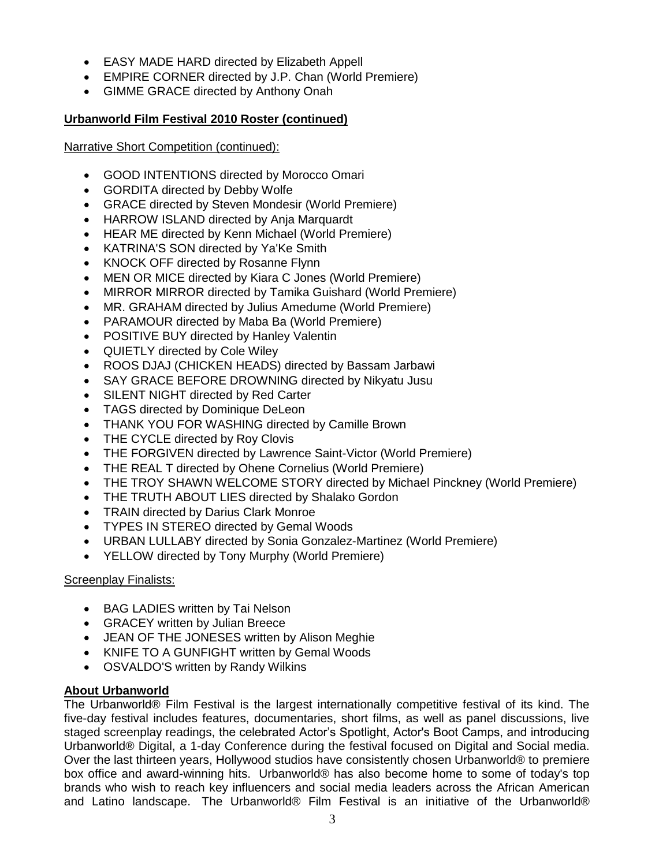- EASY MADE HARD directed by Elizabeth Appell
- EMPIRE CORNER directed by J.P. Chan (World Premiere)
- GIMME GRACE directed by Anthony Onah

## **Urbanworld Film Festival 2010 Roster (continued)**

Narrative Short Competition (continued):

- GOOD INTENTIONS directed by Morocco Omari
- GORDITA directed by Debby Wolfe
- GRACE directed by Steven Mondesir (World Premiere)
- HARROW ISLAND directed by Anja Marquardt
- HEAR ME directed by Kenn Michael (World Premiere)
- KATRINA'S SON directed by Ya'Ke Smith
- KNOCK OFF directed by Rosanne Flynn
- MEN OR MICE directed by Kiara C Jones (World Premiere)
- MIRROR MIRROR directed by Tamika Guishard (World Premiere)
- MR. GRAHAM directed by Julius Amedume (World Premiere)
- PARAMOUR directed by Maba Ba (World Premiere)
- POSITIVE BUY directed by Hanley Valentin
- QUIETLY directed by Cole Wiley
- ROOS DJAJ (CHICKEN HEADS) directed by Bassam Jarbawi
- SAY GRACE BEFORE DROWNING directed by Nikyatu Jusu
- SILENT NIGHT directed by Red Carter
- TAGS directed by Dominique DeLeon
- THANK YOU FOR WASHING directed by Camille Brown
- THE CYCLE directed by Roy Clovis
- THE FORGIVEN directed by Lawrence Saint-Victor (World Premiere)
- THE REAL T directed by Ohene Cornelius (World Premiere)
- THE TROY SHAWN WELCOME STORY directed by Michael Pinckney (World Premiere)
- THE TRUTH ABOUT LIES directed by Shalako Gordon
- TRAIN directed by Darius Clark Monroe
- TYPES IN STEREO directed by Gemal Woods
- URBAN LULLABY directed by Sonia Gonzalez-Martinez (World Premiere)
- YELLOW directed by Tony Murphy (World Premiere)

## Screenplay Finalists:

- BAG LADIES written by Tai Nelson
- GRACEY written by Julian Breece
- JEAN OF THE JONESES written by Alison Meghie
- KNIFE TO A GUNFIGHT written by Gemal Woods
- OSVALDO'S written by Randy Wilkins

## **About Urbanworld**

The Urbanworld® Film Festival is the largest internationally competitive festival of its kind. The five-day festival includes features, documentaries, short films, as well as panel discussions, live staged screenplay readings, the celebrated Actor's Spotlight, Actor's Boot Camps, and introducing Urbanworld® Digital, a 1-day Conference during the festival focused on Digital and Social media. Over the last thirteen years, Hollywood studios have consistently chosen Urbanworld® to premiere box office and award-winning hits. Urbanworld® has also become home to some of today's top brands who wish to reach key influencers and social media leaders across the African American and Latino landscape. The Urbanworld® Film Festival is an initiative of the Urbanworld®